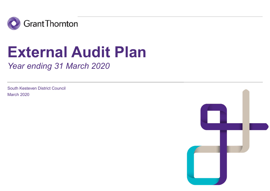

# External Audit Plan

Year ending 31 March 2020

South Kesteven District Council March 2020

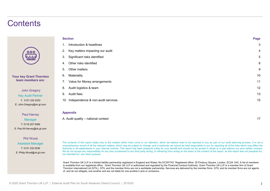# **Contents**

| <b>Section</b> |                                                                                                                                                                                                                                                                                                                                                                                                                                                                                                                                                                                                                                                                                                                                                                                                                                      | Page |
|----------------|--------------------------------------------------------------------------------------------------------------------------------------------------------------------------------------------------------------------------------------------------------------------------------------------------------------------------------------------------------------------------------------------------------------------------------------------------------------------------------------------------------------------------------------------------------------------------------------------------------------------------------------------------------------------------------------------------------------------------------------------------------------------------------------------------------------------------------------|------|
|                | Introduction & headlines                                                                                                                                                                                                                                                                                                                                                                                                                                                                                                                                                                                                                                                                                                                                                                                                             | 3    |
| 2.             | Key matters impacting our audit                                                                                                                                                                                                                                                                                                                                                                                                                                                                                                                                                                                                                                                                                                                                                                                                      |      |
| 3.             | Significant risks identified                                                                                                                                                                                                                                                                                                                                                                                                                                                                                                                                                                                                                                                                                                                                                                                                         | 5    |
| 4.             | Other risks identified                                                                                                                                                                                                                                                                                                                                                                                                                                                                                                                                                                                                                                                                                                                                                                                                               | 8    |
| 5.             | Other matters                                                                                                                                                                                                                                                                                                                                                                                                                                                                                                                                                                                                                                                                                                                                                                                                                        | 9    |
| 6.             | Materiality                                                                                                                                                                                                                                                                                                                                                                                                                                                                                                                                                                                                                                                                                                                                                                                                                          | 10   |
| 7.             | Value for Money arrangements                                                                                                                                                                                                                                                                                                                                                                                                                                                                                                                                                                                                                                                                                                                                                                                                         | 11   |
| 8.             | Audit logistics & team                                                                                                                                                                                                                                                                                                                                                                                                                                                                                                                                                                                                                                                                                                                                                                                                               | 12   |
| 9.             | Audit fees                                                                                                                                                                                                                                                                                                                                                                                                                                                                                                                                                                                                                                                                                                                                                                                                                           | 13   |
|                | 10. Independence & non-audit services                                                                                                                                                                                                                                                                                                                                                                                                                                                                                                                                                                                                                                                                                                                                                                                                | 15   |
|                | <b>Appendix</b>                                                                                                                                                                                                                                                                                                                                                                                                                                                                                                                                                                                                                                                                                                                                                                                                                      |      |
|                | A. Audit quality - national context                                                                                                                                                                                                                                                                                                                                                                                                                                                                                                                                                                                                                                                                                                                                                                                                  | 17   |
|                | The contents of this report relate only to the matters which have come to our attention, which we believe need to be reported to you as part of our audit planning process. It is not a<br>comprehensive record of all the relevant matters, which may be subject to change, and in particular we cannot be held responsible to you for reporting all of the risks which may affect the<br>Authority or all weaknesses in your internal controls. This report has been prepared solely for your benefit and should not be quoted in whole or in part without our prior written consent.<br>We do not accept any responsibility for any loss occasioned to any third party acting, or refraining from acting on the basis of the content of this report, as this report was not prepared for,<br>nor intended for, any other purpose. |      |
|                | Grant Thornton UK LLP is a limited liability partnership registered in England and Wales: No.OC307742. Registered office: 30 Finsbury Square, London, EC2A 1AG. A list of members<br>is available from our registered office. Grant Thornton UK LLP is authorised and regulated by the Financial Conduct Authority. Grant Thornton UK LLP is a member firm of Grant<br>Thornton International Ltd (GTIL). GTIL and the member firms are not a worldwide partnership. Services are delivered by the member firms. GTIL and its member firms are not agents<br>of, and do not obligate, one another and are not liable for one another's acts or omissions.                                                                                                                                                                            |      |

### **Appendix**

Manager **A. Audit quality - national context** 

T: 0116 257 5589 E: Paul.M.Harvey@uk.gt.com

Paul Harvey

Your key Grant Thornton team members are:

oc

John Gregory Key Audit Partner T: 0121 232 5333 E: John.Gregory@uk.gt.com

### Phil Wood

Assistant Manager The contents of this report relate only to the matters which have come to our attention, which we believe need to be reported to you as part of our audit planning process. It is not a comprehensive record T: 0121 232 5236 Authority or all weaknesses in your internal controls. This report has been prepared solely for your benefit and should not be quoted in whole or in part without our prior written consent. E: Philip.Wood@uk.gt.com We do not accept any responsibility for any loss occasioned to any third party acting, or refraining from acting on the basis of the content of this report, as this report was not prepared for, any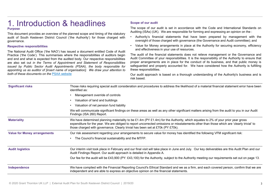### **1. Introduction & headlines**<br>
The scope of our audit is set in accordance with the Code and International Standards on Purpose

This document provides an overview of the planned scope and timing of the statutory<br>
Purpose<br>
This document provides an overview of the planned scope and timing of the statutory<br>
and it of South Kesteven District Council ( **audit Council ('the Council ('the Authority')** for those charged with and effectiveness in your use of resources.<br>This document provides an overview of the planned scope and timing of the statutory<br>audit of South Kesteven governance.

**1. Introduction & head incess**<br>Purpose<br>This document provides an overview of the planned scope and timing of the statutory<br>This document provides an overview of the planned scope and timing of the statutory<br>audit of Sout The societive espective methem and the the set in accordance with the Code and<br>This document provides an overview of the planned scope and timing of the statutory<br>and it is set in accordance with the Code and<br>audit of Sout **1.** Introduction & headlines where  $\frac{1}{2}$  is a suitor of the planned scope and timing of the statutory and the scope of our audit is set in accordance with the Code and This document provides an overview of the planne **1.** Introduction & headlines serves of our audit propose<br>
Furpose<br>
This document provides an overview of the planned scope and timing of the statutory and it in social is set in accordance with the Caudit of South Kestev **1.** Introduction & head lines seep of our audit<br>
Purpose of our audit of South Kesteven District Council (the Authority) for those changed with  $\sim$  Multimig (ISAs) (UK). We are responsible for forming and<br>
This document **1.** Introduction & headlines are sponsible to the plannel scope of our audit is set in accordance with the Code and Infrase<br>
This document provides an overview of the plannel scope and timing of the statutory<br>
This docum **1.** Introduction & headlines with the Code and Internace of the planned scope of our audit of the scope of our audit is set in accordance with the Code and Internace Purpose<br>Purpose the content of Council (the Authority) **1.** Introduction & headlines The scope of our audit<br>
Purpose This document provides an overview of the planned scope and timing of the statutory  $\frac{\text{Audility (18As)}}{\text{Audility (18As)}}$ . This document provides an overview of the plann

- Scope of our audit<br>The scope of our audit is set in accordance with the Code and International Standards<br>Auditing (ISAs) (UK). We are responsible for forming and expressing an opinion on the :<br>• Authority's financial state Scope of our audit<br>The scope of our audit is set in accordance with the Code and International Standards on<br>Auditing (ISAs) (UK). We are responsible for forming and expressing an opinion on the :<br>• Authority's financial st
- Scope of our audit<br>
The scope of our audit is set in accordance with the Code and International Standards on<br>
Auditing (ISAs) (UK). We are responsible for forming and expressing an opinion on the :<br>
 Authority's financial • Scope of our audit<br>
• The scope of our audit is set in accordance with the Code and International Standards on<br>
Auditing (ISAs) (UK). We are responsible for forming and expressing an opinion on the :<br>
• Authority's finan

por of our audit<br>
or scope of our audit is set in accordance with the Code and International Standards on<br>
iting (ISAs) (UK). We are responsible for forming and expressing an opinion on the :<br>
Authority's financial stateme Scope of our audit<br>
The scope of our audit is set in accordance with the Code and International Standards on<br>
Auditing (ISAs) (UK). We are responsible for forming and expressing an opinion on the :<br>
• Authority's financial by the of our audit<br>and the Code and International Standards on<br>itting (ISAs) (UK). We are responsible for forming and expressing an opinion on the :<br>Authority's financial statements that have been prepared by management w Scope of our audit<br>The scope of our audit is set in accordance with the Code and International Standards on<br>Auditing (ISAs) (UK). We are responsible for forming and expressing an opinion on the :<br>
• Authority's financial s Scope of our audit<br>The scope of our audit is set in accordance with the Code and International Standards on<br>The scope of our audit is set in accordance with the Code and International Standards on<br>Auditing (ISAs) (UK). We Scope of our audit<br>The scope of our audit is set in accordance with the Code and International Standards on<br>The scope of our audit is set in accordance with the Code and International Standards on<br>Auditing (ISAs) (UK). We Scope of our audit<br>
The scope of our audit is set in accordance with the Code and International Standards on<br>
Auditing (ISAs) (UK). We are responsible for forming and expressing an opinion on the :<br>
• Authority's financial Scope of our audit<br>The scope of our audit is set in accordance with the Code and International S<br>Auditing (ISAs) (UK). We are responsible for forming and expressing an opinion oi<br>Authority's financial statements that have Scope of our audit is set in accordance with the Code and International Standards on Auditing (ISAs) (UK). We are responsible for forming and expressing an opinion on the :<br>
• Authority's financial statements that have bee Scope of our audit<br>The scope of our audit<br>Auditing (ISAs) (UK). We are responsible for forming and expressing an opinion<br>Auditing (ISAs) (UK). We are responsible for forming and expressing an opinion<br>Authority's financial

| 1. Introduction & headlines                                                                                                                                                                                                                                                                                                                                                                                                         | <b>Scope of our audit</b>                                                                                                                                                                                                                                                                                                                                                                                                                                                                                                                                                   |  |
|-------------------------------------------------------------------------------------------------------------------------------------------------------------------------------------------------------------------------------------------------------------------------------------------------------------------------------------------------------------------------------------------------------------------------------------|-----------------------------------------------------------------------------------------------------------------------------------------------------------------------------------------------------------------------------------------------------------------------------------------------------------------------------------------------------------------------------------------------------------------------------------------------------------------------------------------------------------------------------------------------------------------------------|--|
|                                                                                                                                                                                                                                                                                                                                                                                                                                     | The scope of our audit is set in accordance with the Code and International Standards on<br>Auditing (ISAs) (UK). We are responsible for forming and expressing an opinion on the :                                                                                                                                                                                                                                                                                                                                                                                         |  |
| audit of South Kesteven District Council ('the Authority') for those charged with                                                                                                                                                                                                                                                                                                                                                   | • Authority's financial statements that have been prepared by management with the<br>oversight of those charged with governance (the Governance and Audit committee); and                                                                                                                                                                                                                                                                                                                                                                                                   |  |
|                                                                                                                                                                                                                                                                                                                                                                                                                                     | Value for Money arrangements in place at the Authority for securing economy, efficiency<br>$\bullet$<br>and effectiveness in your use of resources.<br>The audit of the financial statements does not relieve management or the Governance and<br>Audit Committee of your responsibilities. It is the responsibility of the Authority to ensure that<br>proper arrangements are in place for the conduct of its business, and that public money is<br>safeguarded and properly accounted for. We have considered how the Authority is fulfilling<br>these responsibilities. |  |
| Practice ('the Code'). This summarises where the responsibilities of auditors begin<br>and end and what is expected from the audited body. Our respective responsibilities<br>are also set out in the Terms of Appointment and Statement of Responsibilities<br>issued by Public Sector Audit Appointments (PSAA), the body responsible for<br>appointing us as auditor of [insert name of organisation]. We draw your attention to |                                                                                                                                                                                                                                                                                                                                                                                                                                                                                                                                                                             |  |
| both of these documents on the PSAA website                                                                                                                                                                                                                                                                                                                                                                                         | Our audit approach is based on a thorough understanding of the Authority's business and is<br>risk based.                                                                                                                                                                                                                                                                                                                                                                                                                                                                   |  |
| identified as:                                                                                                                                                                                                                                                                                                                                                                                                                      | Those risks requiring special audit consideration and procedures to address the likelihood of a material financial statement error have been                                                                                                                                                                                                                                                                                                                                                                                                                                |  |
| Management override of controls                                                                                                                                                                                                                                                                                                                                                                                                     |                                                                                                                                                                                                                                                                                                                                                                                                                                                                                                                                                                             |  |
| Valuation of land and buildings                                                                                                                                                                                                                                                                                                                                                                                                     |                                                                                                                                                                                                                                                                                                                                                                                                                                                                                                                                                                             |  |
| Valuation of net pension fund liability                                                                                                                                                                                                                                                                                                                                                                                             |                                                                                                                                                                                                                                                                                                                                                                                                                                                                                                                                                                             |  |
| Findings (ISA 260) Report.                                                                                                                                                                                                                                                                                                                                                                                                          | We will communicate significant findings on these areas as well as any other significant matters arising from the audit to you in our Audit                                                                                                                                                                                                                                                                                                                                                                                                                                 |  |
| We have determined planning materiality to be £1.4m (PY £1.4m) for the Authority, which equates to 2% of your prior year gross<br>expenditure for the year. We are obliged to report uncorrected omissions or misstatements other than those which are 'clearly trivial' to<br>those charged with governance. Clearly trivial has been set at £70k (PY £70k).                                                                       |                                                                                                                                                                                                                                                                                                                                                                                                                                                                                                                                                                             |  |
|                                                                                                                                                                                                                                                                                                                                                                                                                                     | Our risk assessment regarding your arrangements to secure value for money has identified the following VFM significant risk:                                                                                                                                                                                                                                                                                                                                                                                                                                                |  |
|                                                                                                                                                                                                                                                                                                                                                                                                                                     |                                                                                                                                                                                                                                                                                                                                                                                                                                                                                                                                                                             |  |
|                                                                                                                                                                                                                                                                                                                                                                                                                                     | Our interim visit took place in February and our final visit will take place in June and July. Our key deliverables are this Audit Plan and our                                                                                                                                                                                                                                                                                                                                                                                                                             |  |
|                                                                                                                                                                                                                                                                                                                                                                                                                                     | Our fee for the audit will be £43,900 (PY: £43,100) for the Authority, subject to the Authority meeting our requirements set out on page 13.                                                                                                                                                                                                                                                                                                                                                                                                                                |  |
| We have complied with the Financial Reporting Council's Ethical Standard and we as a firm, and each covered person, confirm that we are<br>independent and are able to express an objective opinion on the financial statements.                                                                                                                                                                                                    |                                                                                                                                                                                                                                                                                                                                                                                                                                                                                                                                                                             |  |
|                                                                                                                                                                                                                                                                                                                                                                                                                                     | This document provides an overview of the planned scope and timing of the statutory<br>The National Audit Office ('the NAO') has issued a document entitled Code of Audit<br>The Council's financial sustainability and the MTFP.<br>Audit Findings Report. Our audit approach is detailed in Appendix A.                                                                                                                                                                                                                                                                   |  |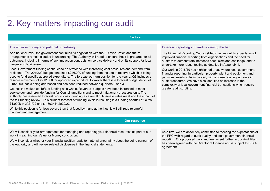# 2. Key matters impacting our audit

### Factors

### The wider economy and political uncertainty

At a national level, the government continues its negotiation with the EU over Brexit, and future arrangements remain clouded in uncertainty. The Authority will need to ensure that it is prepared for all outcomes, including in terms of any impact on contracts, on service delivery and on its support for local people and businesses.

. £182,000 that is being addressed and has been reduced between quarters 2 and 3. Local Government funding continues to be stretched with increasing cost pressures and demand from residents. The 2019/20 budget contained £246,000 of funding from the use of reserves which is being used to fund specific approved expenditure. The forecast out-turn position for the year at Q3 includes a reserve movement of £212,000 for approved expenditure. However there is a forecast budget deficit of

Council tax makes up 49% of funding as a whole. Revenue budgets have been increased to meet service demand, provide funding for Council ambitions and to meet inflationary pressures only. The authority has assumed forecast reductions in funding as a result of business rates reset and the impact of the fair funding review. This prudent forecast of funding levels is resulting in a funding shortfall of circa £1,009k in 2021/22 and £1,302k in 2022/23.

While this position is far less severe than that faced by many authorities, it will still require careful planning and management.

Financial reporting and audit – raising the bar<br>The Financial Reporting Council (FRC) has set out its expectation of<br>improved financial reporting from organisations and the need for<br>auditors to demonstrate increased scepti The Financial Reporting Council (FRC) has set out its expectation of improved financial reporting from organisations and the need for auditors to demonstrate increased scepticism and challenge, and to undertake more robust testing as detailed in Appendix 1.

Our work in 2018/19 has highlighted areas where local government financial reporting, in particular, property, plant and equipment and pensions, needs to be improved, with a corresponding increase in audit procedures. We have also identified an increase in the complexity of local government financial transactions which require greater audit scrutiny.

### Our response

We will consider your arrangements for managing and reporting your financial resources as part of our work in reaching our Value for Money conclusion.

We will consider whether your financial position leads to material uncertainty about the going concern of the Authority and will review related disclosures in the financial statements.

As a firm, we are absolutely committed to meeting the expectations of the FRC with regard to audit quality and local government financial reporting. Our proposed work and fee, as set further in our Audi Plan, has been agreed with the Director of Finance and is subject to PSAA agreement.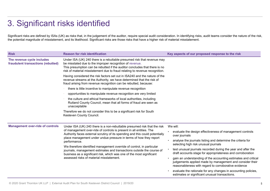# 3. Significant risks identified

| 3. Significant risks identified                                  |                                                                                                                                                                                                                                                                                                                                                                                                                                                                                                                                                                                             |                                                                                                                                                      |
|------------------------------------------------------------------|---------------------------------------------------------------------------------------------------------------------------------------------------------------------------------------------------------------------------------------------------------------------------------------------------------------------------------------------------------------------------------------------------------------------------------------------------------------------------------------------------------------------------------------------------------------------------------------------|------------------------------------------------------------------------------------------------------------------------------------------------------|
|                                                                  | Significant risks are defined by ISAs (UK) as risks that, in the judgement of the auditor, require special audit consideration. In identifying risks, audit teams consider the nature of the risk,<br>the potential magnitude of misstatement, and its likelihood. Significant risks are those risks that have a higher risk of material misstatement.                                                                                                                                                                                                                                      |                                                                                                                                                      |
| <b>Risk</b>                                                      | <b>Reason for risk identification</b>                                                                                                                                                                                                                                                                                                                                                                                                                                                                                                                                                       | Key aspects of our proposed response to the risk                                                                                                     |
| The revenue cycle includes<br>fraudulent transactions (rebutted) | Under ISA (UK) 240 there is a rebuttable presumed risk that revenue may<br>be misstated due to the improper recognition of revenue.<br>This presumption can be rebutted if the auditor concludes that there is no<br>risk of material misstatement due to fraud relating to revenue recognition.                                                                                                                                                                                                                                                                                            |                                                                                                                                                      |
|                                                                  | Having considered the risk factors set out in ISA240 and the nature of the<br>revenue streams at the Authority, we have determined that the risk of<br>fraud arising from revenue recognition can be rebutted, because:                                                                                                                                                                                                                                                                                                                                                                     |                                                                                                                                                      |
|                                                                  | there is little incentive to manipulate revenue recognition                                                                                                                                                                                                                                                                                                                                                                                                                                                                                                                                 |                                                                                                                                                      |
|                                                                  | opportunities to manipulate revenue recognition are very limited                                                                                                                                                                                                                                                                                                                                                                                                                                                                                                                            |                                                                                                                                                      |
|                                                                  | the culture and ethical frameworks of local authorities, including<br>Rutland County Council, mean that all forms of fraud are seen as<br>unacceptable                                                                                                                                                                                                                                                                                                                                                                                                                                      |                                                                                                                                                      |
|                                                                  | Therefore we do not consider this to be a significant risk for South<br>Kesteven County Council.                                                                                                                                                                                                                                                                                                                                                                                                                                                                                            |                                                                                                                                                      |
| <b>Management over-ride of controls</b>                          | Under ISA (UK) 240 there is a non-rebuttable presumed risk that the risk<br>of management over-ride of controls is present in all entities. The<br>Authority faces external scrutiny of its spending and this could potentially<br>place management under undue pressure in terms of how they report<br>performance.<br>We therefore identified management override of control, in particular<br>journals, management estimates and transactions outside the course of<br>business as a significant risk, which was one of the most significant<br>assessed risks of material misstatement. | We will:<br>evaluate the design effectiveness of management controls<br>over journals<br>analyse the journals listing and determine the criteria for |
|                                                                  |                                                                                                                                                                                                                                                                                                                                                                                                                                                                                                                                                                                             | selecting high risk unusual journals                                                                                                                 |
|                                                                  |                                                                                                                                                                                                                                                                                                                                                                                                                                                                                                                                                                                             | test unusual journals recorded during the year and after the                                                                                         |
|                                                                  |                                                                                                                                                                                                                                                                                                                                                                                                                                                                                                                                                                                             | draft accounts stage for appropriateness and corroboration<br>gain an understanding of the accounting estimates and critical                         |
|                                                                  |                                                                                                                                                                                                                                                                                                                                                                                                                                                                                                                                                                                             | judgements applied made by management and consider their<br>reasonableness with regard to corroborative evidence                                     |
|                                                                  |                                                                                                                                                                                                                                                                                                                                                                                                                                                                                                                                                                                             | evaluate the rationale for any changes in accounting policies,<br>estimates or significant unusual transactions.                                     |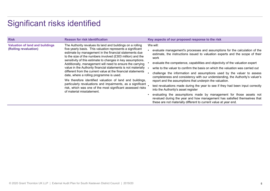# Significant risks identified

|                                                                 | Significant risks identified                                                                                                                                                                                                                                                                                                                                                                                                                                                                                                                                                                                                                                                                                                                                                     |                                                                                                                                                                                                                                                                                                                                                                                                                                                                                                                                                                                                                                                                                                                                                                                                                                                                                                                           |
|-----------------------------------------------------------------|----------------------------------------------------------------------------------------------------------------------------------------------------------------------------------------------------------------------------------------------------------------------------------------------------------------------------------------------------------------------------------------------------------------------------------------------------------------------------------------------------------------------------------------------------------------------------------------------------------------------------------------------------------------------------------------------------------------------------------------------------------------------------------|---------------------------------------------------------------------------------------------------------------------------------------------------------------------------------------------------------------------------------------------------------------------------------------------------------------------------------------------------------------------------------------------------------------------------------------------------------------------------------------------------------------------------------------------------------------------------------------------------------------------------------------------------------------------------------------------------------------------------------------------------------------------------------------------------------------------------------------------------------------------------------------------------------------------------|
| <b>Risk</b>                                                     | <b>Reason for risk identification</b>                                                                                                                                                                                                                                                                                                                                                                                                                                                                                                                                                                                                                                                                                                                                            | Key aspects of our proposed response to the risk                                                                                                                                                                                                                                                                                                                                                                                                                                                                                                                                                                                                                                                                                                                                                                                                                                                                          |
| <b>Valuation of land and buildings</b><br>(Rolling revaluation) | The Authority revalues its land and buildings on a rolling<br>five-yearly basis. This valuation represents a significant<br>estimate by management in the financial statements due<br>to the size of the numbers involved (£303 million) and the<br>sensitivity of this estimate to changes in key assumptions.<br>Additionally, management will need to ensure the carrying<br>value in the Authority financial statements is not materially<br>different from the current value at the financial statements<br>date, where a rolling programme is used.<br>We therefore identified valuation of land and buildings,<br>particularly revaluations and impairments, as a significant.<br>risk, which was one of the most significant assessed risks<br>of material misstatement. | We will:<br>evaluate management's processes and assumptions for the calculation of the<br>estimate, the instructions issued to valuation experts and the scope of their<br>work<br>evaluate the competence, capabilities and objectivity of the valuation expert<br>write to the valuer to confirm the basis on which the valuation was carried out<br>challenge the information and assumptions used by the valuer to assess<br>completeness and consistency with our understanding, the Authority's valuer's<br>report and the assumptions that underpin the valuation.<br>test revaluations made during the year to see if they had been input correctly<br>into the Authority's asset register<br>evaluating the assumptions made by management for those assets not<br>revalued during the year and how management has satisfied themselves that<br>these are not materially different to current value at year end. |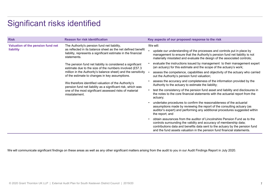# Significant risks identified

|                                   | Significant risks identified                                                                                                                                                                                                                                                                                                                                                                                                            |                                                                                                                                                                                                                                                   |
|-----------------------------------|-----------------------------------------------------------------------------------------------------------------------------------------------------------------------------------------------------------------------------------------------------------------------------------------------------------------------------------------------------------------------------------------------------------------------------------------|---------------------------------------------------------------------------------------------------------------------------------------------------------------------------------------------------------------------------------------------------|
| <b>Risk</b>                       | <b>Reason for risk identification</b>                                                                                                                                                                                                                                                                                                                                                                                                   | Key aspects of our proposed response to the risk                                                                                                                                                                                                  |
| Valuation of the pension fund net | The Authority's pension fund net liability,<br>as reflected in its balance sheet as the net defined benefit<br>liability, represents a significant estimate in the financial<br>statements.<br>The pension fund net liability is considered a significant<br>estimate due to the size of the numbers involved (£57.3<br>million in the Authority's balance sheet) and the sensitivity<br>of the estimate to changes in key assumptions. | We will:                                                                                                                                                                                                                                          |
| liability                         |                                                                                                                                                                                                                                                                                                                                                                                                                                         | update our understanding of the processes and controls put in place by<br>management to ensure that the Authority's pension fund net liability is not<br>materially misstated and evaluate the design of the associated controls;                 |
|                                   |                                                                                                                                                                                                                                                                                                                                                                                                                                         | evaluate the instructions issued by management to their management expert<br>(an actuary) for this estimate and the scope of the actuary's work;                                                                                                  |
|                                   |                                                                                                                                                                                                                                                                                                                                                                                                                                         | assess the competence, capabilities and objectivity of the actuary who carried<br>out the Authority's pension fund valuation;                                                                                                                     |
|                                   | We therefore identified valuation of the Authority's<br>pension fund net liability as a significant risk, which was<br>one of the most significant assessed risks of material<br>misstatement.                                                                                                                                                                                                                                          | assess the accuracy and completeness of the information provided by the<br>Authority to the actuary to estimate the liability;                                                                                                                    |
|                                   |                                                                                                                                                                                                                                                                                                                                                                                                                                         | • test the consistency of the pension fund asset and liability and disclosures in<br>the notes to the core financial statements with the actuarial report from the<br>actuary;                                                                    |
|                                   |                                                                                                                                                                                                                                                                                                                                                                                                                                         | • undertake procedures to confirm the reasonableness of the actuarial<br>assumptions made by reviewing the report of the consulting actuary (as<br>auditor's expert) and performing any additional procedures suggested within<br>the report; and |
|                                   |                                                                                                                                                                                                                                                                                                                                                                                                                                         | • obtain assurances from the auditor of Lincolnshire Pension Fund as to the<br>controls surrounding the validity and accuracy of membership data;<br>contributions data and benefits data sent to the actuary by the pension fund                 |

We will communicate significant findings on these areas as well as any other significant matters arising from the audit to you in our Audit Findings Report in July 2020.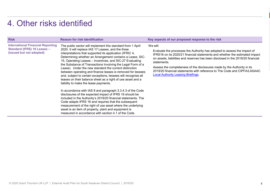# 4. Other risks identified

| 4. Other risks identified<br><b>Risk</b>                                                                   | <b>Reason for risk identification</b>                                                                                                                                                                                                                                                                                                                                                                                                                                                                                                                                                                                                                                                                                                                                                                                                                                                                                                                                                                                                                                                                    | Key aspects of our proposed response to the risk                                                                                                                                                                                                                                                                                                                                                                                                                          |
|------------------------------------------------------------------------------------------------------------|----------------------------------------------------------------------------------------------------------------------------------------------------------------------------------------------------------------------------------------------------------------------------------------------------------------------------------------------------------------------------------------------------------------------------------------------------------------------------------------------------------------------------------------------------------------------------------------------------------------------------------------------------------------------------------------------------------------------------------------------------------------------------------------------------------------------------------------------------------------------------------------------------------------------------------------------------------------------------------------------------------------------------------------------------------------------------------------------------------|---------------------------------------------------------------------------------------------------------------------------------------------------------------------------------------------------------------------------------------------------------------------------------------------------------------------------------------------------------------------------------------------------------------------------------------------------------------------------|
| <b>International Financial Reporting</b><br><b>Standard (IFRS) 16 Leases -</b><br>(issued but not adopted) | The public sector will implement this standard from 1 April<br>2020. It will replace IAS 17 Leases, and the three<br>interpretations that supported its application (IFRIC 4,<br>Determining whether an Arrangement contains a Lease, SIC-<br>15, Operating Leases - Incentives, and SIC-27 Evaluating<br>the Substance of Transactions Involving the Legal Form of a<br>Lease). Under the new standard the current distinction<br>between operating and finance leases is removed for lessees<br>and, subject to certain exceptions, lessees will recognise all<br>leases on their balance sheet as a right of use asset and a<br>liability to make the lease payments.<br>In accordance with IAS 8 and paragraph 3.3.4.3 of the Code<br>disclosures of the expected impact of IFRS 16 should be<br>included in the Authority's 2019/20 financial statements. The<br>Code adapts IFRS 16 and requires that the subsequent<br>measurement of the right of use asset where the underlying<br>asset is an item of property, plant and equipment is<br>measured in accordance with section 4.1 of the Code. | We will:<br>Evaluate the processes the Authority has adopted to assess the impact of<br>IFRS16 on its 2020/21 financial statements and whether the estimated impact<br>on assets, liabilities and reserves has been disclosed in the 2019/20 financial<br>statements.<br>Assess the completeness of the disclosures made by the Authority in its<br>2019/20 financial statements with reference to The Code and CIPFA/LASAAC<br><b>Local Authority Leasing Briefings.</b> |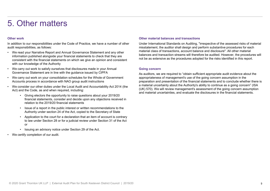5. Other matters<br>
Other work<br>
In addition to our responsibilities under the Code of Practice, we have a number of other Und

- 5. Other matters<br>
Other work<br>
In addition to our responsibilities under the Code of Practice, we have a number of<br>
audit responsibilities, as follows:<br>
 We read your Narrative Report and Annual Governance Statement and an 5. Other material balances and transactions<br>In addition to our responsibilities under the Code of Practice, we have a number of other<br>In addition to our responsibilities, as follows:<br>In the material class of transactions a 5. Other matters<br>
the matters of Practice, we have a number of other<br>
In addition to our responsibilities under the Code of Practice, we have a number of other<br>
audit responsibilities, as follows:<br>
• We read your Narrative **5. Other matters of the matter of the matter**<br> **6.**<br>
Other work<br>
In addition to our responsibilities under the Code of Practice, we have a number of other the<br>
audit responsibilities, as follows:<br>
• We read your Narrative information published alongside your financial statements to check that they are consistent with the financial statements on which we give an opinion and consistent with our knowledge of the Authority **5.** Other matters out is satisfy our separation of the code of Practice, we have a number of other Under<br>
and the poposibilities, as follows:<br>
• We read your Narrative Report and Annual Governance Statement and any other **5. Other matterial**<br>
there may be consisted the code of Practice, we have a number of other the Under Interaction of the mand the sponsibilities, as follows:<br>
• We read your Narrative Report and Annual Governance Stateme **5. Other matrices**<br> **blue matrices**<br> **outer matrices**<br> **our other matrices**<br> **exactly considered and Annual Governance Statement and any other material class<br>
and it responsibilities, as follows:<br>
we cand your Marrativ • Charact Constitution and the opportunity of the opportunity of the observations about Narrative Report and Annual Governance Statement and any other the consistent and your Narrative Report and Annual Governance Stateme** For the material of the material of the public interest or written of the public interest or the code of Practice, we have a number of other the consistinue of the monitosities, as follows:<br>
and your Narrative Report and A ork<br>
• Cher mater the Code of Practice, we have a number of other<br>
• This consibilities, as follows:<br>
• This consibilities, as follows:<br>
• This constant and any other<br>
• This calibulation that any other and any other mater consibilities, as follows:<br>
and your Narrative Report and Annual Governance Statement and any other<br>
and your Thararative Report and Annual Governancial statements to check that they are<br>
stent with the financial statement • We read your Narrative Report and Annual Governance Statement and any information published alongside your financial statements to check that they consistent with the financial statements on which we give an opinion and
- Governance Statement are in line with the guidance issued by CIPFA
- Accounts process in accordance with NAO group audit instructions
- Act) and the Code, as and when required, including:
	- financial statements, consider and decide upon any objections received in relation to the 2019/20 financial statements
	- Authority under section 24 of the Act, copied to the Secretary of State
	- to law under Section 28 or for a judicial review under Section 31 of the Act or
	-
- 

Other material balances and transactions<br>Under International Standards on Auditing, "irrespective of the assessed risks of material<br>misstatement, the auditor shall design and perform substantive procedures for each<br>materia Under International Standards on Auditing, "irrespective of the assessed risks of material misstatement, the auditor shall design and perform substantive procedures for each material class of transactions, account balance and disclosure". All other material balances and transaction streams will therefore be audited. However, the procedures will not be as extensive as the procedures adopted for the risks identified in this report. Other material balances and transactions<br>
Under International Standards on Auditing, "irrespective of the assessed risks of me<br>
mistsitement, the auditor shall design and perform substantive procedures for each<br>
material c

As auditors, we are required to "obtain sufficient appropriate audit evidence about the appropriateness of management's use of the going concern assumption in the preparation and presentation of the financial statements and to conclude whether there is a material uncertainty about the Authority's ability to continue as a going concern" (ISA (UK) 570). We will review management's assessment of the going concern assumption and material uncertainties, and evaluate the disclosures in the financial statements.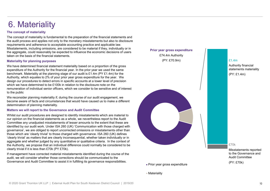# 6. Materiality

 $\overline{6}$ . Materiality<br>The concept of materiality<br>The concept of materiality<br>The concept of materiality<br>the and applies not only to the monetary misstatements but also to disclosure<br>requirements and adherence to acceptable The concept of materiality is fundamental to the preparation of the financial statements and the audit process and applies not only to the monetary misstatements but also to disclosure requirements and adherence to acceptable accounting practice and applicable law. Misstatements, including omissions, are considered to be material if they, individually or in the aggregate, could reasonably be expected to influence the economic decisions of users taken on the basis of the financial statements.

### Materiality for planning purposes

We have determined financial statement materiality based on a proportion of the gross expenditure of the Authority for the financial year. In the prior year we used the same benchmark. Materiality at the planning stage of our audit is £1.4m (PY £1.4m) for the Authority, which equates to 2% of your prior year gross expenditure for the year. We design our procedures to detect errors in specific accounts at a lower level of precision which we have determined to be £100k in relation to the disclosure note on the remuneration of individual senior officers, which we consider to be sensitive and of interest to the public

We reconsider planning materiality if, during the course of our audit engagement, we become aware of facts and circumstances that would have caused us to make a different determination of planning materiality.

Whilst our audit procedures are designed to identify misstatements which are material to our opinion on the financial statements as a whole, we nevertheless report to the Audit Committee any unadjusted misstatements of lesser amounts to the extent that these are identified by our audit work. Under ISA 260 (UK) 'Communication with those charged with governance', we are obliged to report uncorrected omissions or misstatements other than those which are 'clearly trivial' to those charged with governance. ISA 260 (UK) defines 'clearly trivial' as matters that are clearly inconsequential, whether taken individually or in aggregate and whether judged by any quantitative or qualitative criteria. In the context of the Authority, we propose that an individual difference could normally be considered to be clearly trivial if it is less than £70k (PY £70k).

If management have corrected material misstatements identified during the course of the audit, we will consider whether those corrections should be communicated to the Governance and Audit Committee to assist it in fulfilling its governance responsibilities.

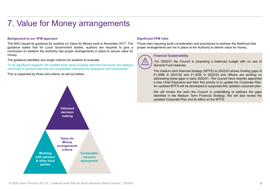# 7. Value for Money arrangements

7. Value for Money arrangements<br>Background to our VFM approach<br>The NAO issued its guidance for auditors on Value for Money work in November 2017. The Those ris<br>guidance states that for Local Government bodies, auditors are The NAO issued its guidance for Money arrangements in November 2017. The Significant VFM risks<br>The NAO issued its guidance for auditors on Value for Money work in November 2017. The Those risks requiring audit consideratio 7. Value for Money arrangements in Place that for the Most and deploys states that is guidance of the North Approach The Nos states that for Local Government bodies, auditors are required to give a proper arrangements are 7. Value for Money arrangement Secure value of Movember 2017. The Those risks requiring audit consideration and procedures to address the NAO issued its guidance for auditors on Value for Money work in November 2017. The money. 7. Value for Money arrangements in place the suspirificant VFM risks<br>
Background to our VFM approach<br>
The NAO issued its guidance for auditors on Value for Money work in November 2017. The Those risks requiring audit cons 7. Value for Money arrangements are required to summarize and isomic states and for a summarized body that the automobility of the automobility of the automobility of the automobility of the automobility of the automobili **7.** Value for Money arrangements in November 2017. The Those risks requiring audit consideration and procedures to achieve planned by the europer arrangements in place to secure value for the NAO issued its guidance for a 7. Value for Money arrangements in Nowmber 2017. The Those risks requiring audit constant of DM approach<br>The NAO issued its guidance for auditors on Value for Money work in November 2017. The Those risks requiring audit c



### Significant VFM risks

Those risks requiring audit consideration and procedures to address the likelihood that proper arrangements are not in place at the Authority to deliver value for money.

VFM risks<br>requiring audit consideration and procedures to address the likelihood that<br>gements are not in place at the Authority to deliver value for money.<br>Financial Sustainability<br>General Fund reserves.<br>General Fund reser VFM risks<br>equiring audit consideration and procedures to address the likelihood that<br>gements are not in place at the Authority to deliver value for money.<br>Financial Sustainability<br>For 2020/21 the Council is proposing a bal VFM risks<br>requiring audit consideration and procedures to address the likelihood that<br>generals are not in place at the Authority to deliver value for money.<br>Financial Sustainability<br>For 2020/21 the Council is proposing a b VFM risks<br>requiring audit consideration and procedures to address the likelihood that<br>genents are not in place at the Authority to deliver value for money.<br>Financial Sustainability<br>The medium term financial strategy (MTFS) VFM risks<br>requiring audit consideration and procedures to address the likelihood that<br>gements are not in place at the Authority to deliver value for money.<br>Financial Sustainability<br>For 2020/21 the Council is proposing a ba VFM risks<br>requiring audit consideration and procedures to address the likelihood that<br>gements are not in place at the Authority to deliver value for money.<br>Financial Sustainability<br>Tor 2020/21 the Council is proposing a ba VFM risks<br>requiring audit consideration and procedures to address the likelihood that<br>gements are not in place at the Authority to deliver value for money.<br>Financial Sustainability<br>For 2020/21 the Council is proposing a ba VFM risks<br>requiring audit consideration and procedures to address the likelihood that<br>gements are not in place at the Authority to deliver value for money.<br>Financial Sustainability<br>For 2020/21 the Council is proposing a ba VFM risks<br>requiring audit consideration and procedures to address the likelihood that<br>gements are not in place at the Authority to deliver value for money.<br>Financial Sustainability<br>General Fund reserves.<br>General Fund reser VFM risks<br>requiring audit consideration and procedures to address the likelihood that<br>gements are not in place at the Authority to deliver value for money.<br>Financial Sustainability<br>Tor 2020/21 the Council is proposing a ba VFM risks<br>requiring audit consideration and procedures to address the likelihood that<br>gements are not in place at the Authority to deliver value for money.<br>Financial Sustainability<br>For 2020/21 the Council is proposing a ba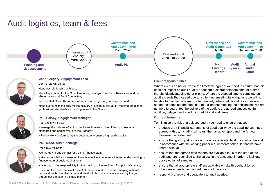# Audit logistics, team & fees





### John Gregory, Engagement Lead

John's role will be to:

•lead our relationship with you;

•be a key contact for the Chief Executive, Strategic Director of Resources and the Governance and Audit Committee;

•ensure that Grant Thornton's full service offering is at your disposal; and

•take overall responsibility for the delivery of a high quality audit, meeting the highest professional standards and adding value to the Council.

### Paul Harvey, Engagement Manager

### Paul's role will be to:

standards and adding value to the Authority.

• Review work performed by the audit team to ensure high audit quality

### Phil Wood, Audit Incharge



Phil's role will be to:

•be the day to day contact for Council finance staff;

•take responsibility for ensuring there is effective communication and understanding by finance team of audit requirements;

•have day to day responsibility for the running of the audit and first point of contact;<br>• ensure that all appropriate staff are available on site throughout (or as

•focus on the more technical aspect of the audit and to discuss emerging national technical matters as they arise and deal with technical matters raised by the you<br>
. respond promptly and adequately to audit queries. throughout the year in a timely manner.



Where clients do not deliver to the timetable agreed, we need to ensure that this does not impact on audit quality or absorb a disproportionate amount of time, thereby disadvantaging other clients. Where the elapsed time to complete an audit exceeds that agreed due to a client not meeting its obligations we will not be able to maintain a team on site. Similarly, where additional resources are needed to complete the audit due to a client not meeting their obligations we are not able to guarantee the delivery of the audit to the agreed timescales. In addition, delayed audits will incur additional audit fees. Hune / July 2020<br>
Audit Findings opinion Audit<br>
Findings opinion Audit<br>
Elent responsibilities<br>
Where clients do not deliver to the timetable agreed, we need to ensure that this<br>
where the start of the client of the sta Fraction of the agreed with the vorking paper serves are available our selection of start of the additional constrained to a start of the proportional constrained a mount of the thereby disadvantaging other clients. Where • ensure that all approximation the variable are the staff don state to the time does not impact on audit quality or absorb a disproportionate amount of time, the diverseby disadvantalging other clients. Where the dispress the the diversion that we can be the diversion to a distinguished the ending other clients. Where the elapsed time to complete an andit exceeds that agreed due to a client not meeting its obligations we will not be able to

### **Our requirements**

To minimise the risk of a delayed audit, you need to ensure that you:

- agreed with us, including all notes, the narrative report and the Annual Governance Statement • manage the delivery of a high quality audit, meeting the highest professional • produce draft financial statements of good quality by the deadline you have
	- in accordance with the working paper requirements schedule that we have shared with you
	- audit and are reconciled to the values in the accounts, in order to facilitate our selection of samples
	- otherwise agreed) the planned period of the audit
	-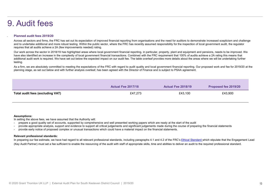# 9. Audit fees

### . Planned audit fees 2019/20

Audit fees 2019/20<br>Planned audit fees 2019/20<br>Across all sectors and firms, the FRC has set out its expectation of improved financial reporting from organisations and the need for auditors to demonstrate increased sceptici Planned audit foes 2019/20<br>Across all sectors and firms, the FRC has set out its expectation of improved financial reporting from organisations and the need for auditiors to demonstrate increased scepticism and challenge<br> Planned audit fees 2019/20<br>Planned audit fees 2019/20<br>Across all sectors and frms, he FRC has set out its expectation of improved financial reporting from organisations and the need for auditors to demonstrate increased s additional audit work is required. We have set out below the expected impact on our audit fee. The table overleaf provides more details about the areas where we will be undertaking further testing. **Planning stage, as an out develop and with further analysis of the product of the Director of the Director of the Director of the Director of the Director of the Director of Access and access and set out and consider and** 

| . Audit fees                                                                                                                                                                                                                                                                                                                                                                                                                                                                                                                                                                                        |                           |                           |                      |
|-----------------------------------------------------------------------------------------------------------------------------------------------------------------------------------------------------------------------------------------------------------------------------------------------------------------------------------------------------------------------------------------------------------------------------------------------------------------------------------------------------------------------------------------------------------------------------------------------------|---------------------------|---------------------------|----------------------|
| Planned audit fees 2019/20                                                                                                                                                                                                                                                                                                                                                                                                                                                                                                                                                                          |                           |                           |                      |
| Across all sectors and firms, the FRC has set out its expectation of improved financial reporting from organisations and the need for auditors to demonstrate increased scepticism and challenge<br>and to undertake additional and more robust testing. Within the public sector, where the FRC has recently assumed responsibility for the inspection of local government audit, the regulator<br>requires that all audits achieve a 2A (few improvements needed) rating.                                                                                                                         |                           |                           |                      |
| Our work across the sector in 2018/19 has highlighted areas where local government financial reporting, in particular, property, plant and equipment and pensions, needs to be improved. We<br>have also identified an increase in the complexity of local government financial transactions. Combined with the FRC requirement that 100% of audits achieve a 2A rating this means that<br>additional audit work is required. We have set out below the expected impact on our audit fee. The table overleaf provides more details about the areas where we will be undertaking further<br>testing. |                           |                           |                      |
| As a firm, we are absolutely committed to meeting the expectations of the FRC with regard to audit quality and local government financial reporting. Our proposed work and fee for 2019/20 at the<br>planning stage, as set out below and with further analysis overleaf, has been agreed with the Director of Finance and is subject to PSAA agreement.                                                                                                                                                                                                                                            |                           |                           |                      |
|                                                                                                                                                                                                                                                                                                                                                                                                                                                                                                                                                                                                     |                           |                           |                      |
|                                                                                                                                                                                                                                                                                                                                                                                                                                                                                                                                                                                                     | <b>Actual Fee 2017/18</b> | <b>Actual Fee 2018/19</b> | Proposed fee 2019/20 |
| <b>Total audit fees (excluding VAT)</b>                                                                                                                                                                                                                                                                                                                                                                                                                                                                                                                                                             | £47,273                   | £43,100                   | £43,900              |
|                                                                                                                                                                                                                                                                                                                                                                                                                                                                                                                                                                                                     |                           |                           |                      |
|                                                                                                                                                                                                                                                                                                                                                                                                                                                                                                                                                                                                     |                           |                           |                      |
| <b>Assumptions:</b><br>In setting the above fees, we have assumed that the Authority will:<br>prepare a good quality set of accounts, supported by comprehensive and well presented working papers which are ready at the start of the audit<br>provide appropriate analysis, support and evidence to support all critical judgements and significant judgements made during the course of preparing the financial statements<br>provide early notice of proposed complex or unusual transactions which could have a material impact on the financial statements.                                   |                           |                           |                      |
| <b>Relevant professional standards:</b><br>In preparing our fee estimate, we have had regard to all relevant professional standards, including paragraphs 4.1 and 4.2 of the FRC's Ethical Standard which stipulate that the Engagement Lead<br>(Key Audit Partner) must set a fee sufficient to enable the resourcing of the audit with staff of appropriate skills, time and abilities to deliver an audit to the required professional standard.                                                                                                                                                 |                           |                           |                      |
|                                                                                                                                                                                                                                                                                                                                                                                                                                                                                                                                                                                                     |                           |                           |                      |
|                                                                                                                                                                                                                                                                                                                                                                                                                                                                                                                                                                                                     |                           |                           |                      |

### Assumptions:

- 
- 
- 

### Relevant professional standards: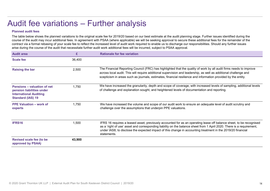### Planned audit fees

Audit fee variations – Further analysis<br>
Planned audit fees<br>
The table below shows the planned variations to the original scale fee for 2019/20 based on our best estimate at the audit planning<br>
course of the audit may inc The table below shows the planned variations to the original scale fee for 2019/20 based on our best estimate at the audit planning stage. Further issues identified during the course of the audit may incur additional fees. In agreement with PSAA (where applicable) we will be seeking approval to secure these additional fees for the remainder of the<br>contract via a formal rebasing of your scale fee Contract via a formal rebasing of your scale fee to reflect the increased level of audity be readed to the audit planning stage. Further issues identified during the The table below shows the planned variations to the ori arise during the course of the audit that necessitate further audit work additional fees will be incurred, subject to PSAA approval.

|                                                                                                                              |        | Audit fee variations - Further analysis                                                                                                                                                                                                                                                                                                                                                                                                                                                                                                                                                                                                                                                      |
|------------------------------------------------------------------------------------------------------------------------------|--------|----------------------------------------------------------------------------------------------------------------------------------------------------------------------------------------------------------------------------------------------------------------------------------------------------------------------------------------------------------------------------------------------------------------------------------------------------------------------------------------------------------------------------------------------------------------------------------------------------------------------------------------------------------------------------------------------|
| <b>Planned audit fees</b>                                                                                                    |        |                                                                                                                                                                                                                                                                                                                                                                                                                                                                                                                                                                                                                                                                                              |
|                                                                                                                              |        | The table below shows the planned variations to the original scale fee for 2019/20 based on our best estimate at the audit planning stage. Further issues identified during the<br>course of the audit may incur additional fees. In agreement with PSAA (where applicable) we will be seeking approval to secure these additional fees for the remainder of the<br>contract via a formal rebasing of your scale fee to reflect the increased level of audit work required to enable us to discharge our responsibilities. Should any further issues<br>arise during the course of the audit that necessitate further audit work additional fees will be incurred, subject to PSAA approval. |
| <b>Audit area</b>                                                                                                            | £      | <b>Rationale for fee variation</b>                                                                                                                                                                                                                                                                                                                                                                                                                                                                                                                                                                                                                                                           |
| <b>Scale fee</b>                                                                                                             | 36,400 |                                                                                                                                                                                                                                                                                                                                                                                                                                                                                                                                                                                                                                                                                              |
| <b>Raising the bar</b>                                                                                                       | 2,500  | The Financial Reporting Council (FRC) has highlighted that the quality of work by all audit firms needs to improve<br>across local audit. This will require additional supervision and leadership, as well as additional challenge and<br>scepticism in areas such as journals, estimates, financial resilience and information provided by the entity.                                                                                                                                                                                                                                                                                                                                      |
| <b>Pensions - valuation of net</b><br>pension liabilities under<br><b>International Auditing</b><br><b>Standard (IAS) 19</b> | 1,750  | We have increased the granularity, depth and scope of coverage, with increased levels of sampling, additional levels<br>of challenge and explanation sought, and heightened levels of documentation and reporting.                                                                                                                                                                                                                                                                                                                                                                                                                                                                           |
| <b>PPE Valuation – work of</b><br>experts                                                                                    | 1,750  | We have increased the volume and scope of our audit work to ensure an adequate level of audit scrutiny and<br>challenge over the assumptions that underpin PPE valuations.                                                                                                                                                                                                                                                                                                                                                                                                                                                                                                                   |
| IFRS16                                                                                                                       | 1,500  | IFRS 16 requires a leased asset, previously accounted for as an operating lease off balance sheet, to be recognised<br>as a 'right of use' asset and corresponding liability on the balance sheet from 1 April 2020. There is a requirement,<br>under IAS8, to disclose the expected impact of this change in accounting treatment in the 2019/20 financial<br>statements.                                                                                                                                                                                                                                                                                                                   |
| <b>Revised scale fee (to be</b><br>approved by PSAA)                                                                         | 43,900 |                                                                                                                                                                                                                                                                                                                                                                                                                                                                                                                                                                                                                                                                                              |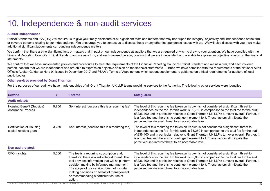# 10. Independence & non-audit services

### Auditor independence

Anditor independence<br>Ethical Standards and ISA (UK) 260 require us to give you timely disclosure of all significant facts and matters that may bear upon the integrity, objectivity and independence of the firm<br>Circum Standa statements.

10. Independence<br>Auditor independence<br>Chinal Standards and ISA (UK) 260 require us to give you timely disclosure of all significant facts and matters that may beer upon the integrity, objectivity and independence of the fi We confirm that we have implemented policies and procedures to meet the requirements of the Financial Reporting Council's Ethical Standard and we as a firm, and each covered 10. Independent and SA (UK) 260 require us to give you timely disclosure of all significant facts and matters that may bear upon the integrity, objectivity and independence of the firm<br>Efficion I standards and ISA (UK) 260 Office's Auditor Guidance Note 01 issued in December 2017 and PSAA's Terms of Appointment which set out supplementary guidance on ethical requirements for auditors of local public bodies. 10. Independence<br>Auditor independence<br>Ethiopia and ISA (UK) 200 require us by eve your imaginates of all significant facts and matters that may be<br>argue the ministry, collectively and independence. We encourage you to cont

### Other services provided by Grant Thornton

|                                                                     |       | 10. Independence & non-audit services                                                                                                                                                                                                                                                                                                   |                                                                                                                                                                                                                                                                                                                                                                                                                                                                                                                                                          |
|---------------------------------------------------------------------|-------|-----------------------------------------------------------------------------------------------------------------------------------------------------------------------------------------------------------------------------------------------------------------------------------------------------------------------------------------|----------------------------------------------------------------------------------------------------------------------------------------------------------------------------------------------------------------------------------------------------------------------------------------------------------------------------------------------------------------------------------------------------------------------------------------------------------------------------------------------------------------------------------------------------------|
| <b>Auditor independence</b>                                         |       |                                                                                                                                                                                                                                                                                                                                         |                                                                                                                                                                                                                                                                                                                                                                                                                                                                                                                                                          |
| additional significant judgements surrounding independence matters. |       |                                                                                                                                                                                                                                                                                                                                         | Ethical Standards and ISA (UK) 260 require us to give you timely disclosure of all significant facts and matters that may bear upon the integrity, objectivity and independence of the firm<br>or covered persons relating to our independence. We encourage you to contact us to discuss these or any other independence issues with us. We will also discuss with you if we make                                                                                                                                                                       |
| statements.                                                         |       |                                                                                                                                                                                                                                                                                                                                         | We confirm that there are no significant facts or matters that impact on our independence as auditors that we are required or wish to draw to your attention. We have complied with the<br>Financial Reporting Council's Ethical Standard and we as a firm, and each covered person, confirm that we are independent and are able to express an objective opinion on the financial                                                                                                                                                                       |
| public bodies.                                                      |       |                                                                                                                                                                                                                                                                                                                                         | We confirm that we have implemented policies and procedures to meet the requirements of the Financial Reporting Council's Ethical Standard and we as a firm, and each covered<br>person, confirm that we are independent and are able to express an objective opinion on the financial statements. Further, we have complied with the requirements of the National Audit<br>Office's Auditor Guidance Note 01 issued in December 2017 and PSAA's Terms of Appointment which set out supplementary guidance on ethical requirements for auditors of local |
| <b>Other services provided by Grant Thornton</b>                    |       |                                                                                                                                                                                                                                                                                                                                         |                                                                                                                                                                                                                                                                                                                                                                                                                                                                                                                                                          |
|                                                                     |       |                                                                                                                                                                                                                                                                                                                                         | For the purposes of our audit we have made enquiries of all Grant Thornton UK LLP teams providing services to the Authority. The following other services were identified                                                                                                                                                                                                                                                                                                                                                                                |
| <b>Service</b>                                                      | £     | <b>Threats</b>                                                                                                                                                                                                                                                                                                                          | <b>Safeguards</b>                                                                                                                                                                                                                                                                                                                                                                                                                                                                                                                                        |
| <b>Audit related:</b>                                               |       |                                                                                                                                                                                                                                                                                                                                         |                                                                                                                                                                                                                                                                                                                                                                                                                                                                                                                                                          |
| Housing Benefit (Subsidy)<br><b>Assurance Process</b>               | 9,750 | Self-Interest (because this is a recurring fee)                                                                                                                                                                                                                                                                                         | The level of this recurring fee taken on its own is not considered a significant threat to<br>independence as the fee for this work is $£9,750$ in comparison to the total fee for the audit<br>of £36,400 and in particular relative to Grant Thornton UK LLP's turnover overall. Further, it<br>is a fixed fee and there is no contingent element to it. These factors all mitigate the<br>perceived self-interest threat to an acceptable level.                                                                                                      |
| <b>Certification of Housing</b><br>capital receipts grant           | 3,250 | Self-Interest (because this is a recurring fee)                                                                                                                                                                                                                                                                                         | The level of this recurring fee taken on its own is not considered a significant threat to<br>independence as the fee for this work is £3,250 in comparison to the total fee for the audit<br>of £36,400 and in particular relative to Grant Thornton UK LLP's turnover overall. Further, it<br>is a fixed fee and there is no contingent element to it. These factors all mitigate the<br>perceived self-interest threat to an acceptable level.                                                                                                        |
| <b>Non-audit related:</b>                                           |       |                                                                                                                                                                                                                                                                                                                                         |                                                                                                                                                                                                                                                                                                                                                                                                                                                                                                                                                          |
| CFO Insights                                                        | 5,000 | The fee is a recurring subscription and,<br>therefore, there is a self-interest threat. The<br>tool provides information that will help inform<br>decision making by informed management.<br>The scope of our service does not include<br>making decisions on behalf of management<br>or recommending a particular course of<br>action. | The level of this recurring fee taken on its own is not considered a significant threat to<br>independence as the fee for this work is £5,000 in comparison to the total fee for the audit<br>of £36,400 and in particular relative to Grant Thornton UK LLP's turnover overall. Further, it<br>is a fixed fee and there is no contingent element to it. These factors all mitigate the<br>perceived self-interest threat to an acceptable level.                                                                                                        |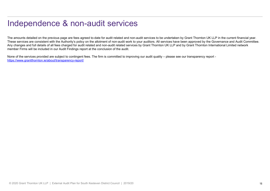# Independence & non-audit services

The amounts detailed on the previous page are fees agreed to-date for audit related and non-audit services to be undertaken by Grant Thornton UK LLP in the current financial year.<br>These services are consistent with the Aut Independence & non-audit services<br>The amounts detailed on the previous page are fees agreed to-date for audit related and non-audit vervices to be undertaken by Grant Thornton UK LLP in the current financial year.<br>These se Any changes and full details of all fees charged for audit related and non-audit related services by Grant Thornton UK LLP and by Grant Thornton International Limited network member Firms will be included in our Audit Findings report at the conclusion of the audit. Independence of the services page are fees agreed to-date for audit related and non-audit services to be undertaken by Grant Thornton UK LLP in the current financial year.<br>The areoutos are consistent with the Authority pol

https://www.grantthornton.ie/about/transparency-report/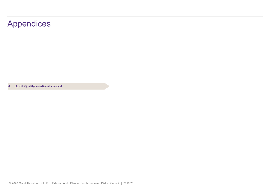# Appendices Appendices<br>A. Audit Quality – national context<br>A. Audit Quality – national context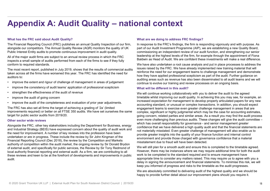# **Appendix A: Audit Quality – national context**<br>What has the FRC said about Audit Quality?<br>The Financial Reporting Council (FRC) publishes an annual Quality Inspection of our firm, In response to the FRC's findings, the fir **Appendix A: Audit Quality — national conference What are we doing to address FRC findings?**<br>The Financial Reporting Council (FRC) publishes an annual Quality Inspection of our firm, In response to the FRCs findings. The

### What has the FRC said about Audit Quality?

The Financial Reporting Council (FRC) publishes an annual Quality Inspection of our firm, alongside our competitors. The Annual Quality Review (AQR) monitors the quality of UK Public Interest Entity audits to promote continuous improvement in audit quality.

All of the major audit firms are subject to an annual review process in which the FRC inspects a small sample of audits performed from each of the firms to see if they fully conform to required standards.

The most recent report, published in July 2019, shows that the results of commercial audits taken across all the firms have worsened this year. The FRC has identified the need for auditors to: **Appendix A: Audit Quality — national**<br>
What has the FRC sald about Audit Quality?<br>
The Financial Reporting Council (FRC) publishes an annual Quality Inspection of our firm, the response<br>
alongside our competitors. The Am **Appendix A: Audit Quality — nation**<br>The Financial Reporting Council (FRC) publishes an annual Quality Inspection of our firm, In<br>alongside our competitors. The Annual Quality Review (AQR) monitors the quality of UK<br>Publi **Appendix A: Audit Quality —**<br>What has the FRC said about Audit Quality?<br>The Financial Reporting Council (FRC) publishes an annual Quality Inspection<br>alongside our competitors. The Annual Quality Review (AQR) monitors the **Appendix A: Audit Quality — national what has the FRC said about Audit Quality?** What are<br>The Financial Reporting Council (FRC) publishes an annual Quality Inspection of our firm, In responsion<br>alongside our competitors.

- 
- 
- 
- 
- 

The FRC has also set all firms the target of achieving a grading of '2a' (limited improvements required) or better on all FTSE 350 audits. We have set ourselves the same target for public sector audits from 2019/20.

### Other sector wide reviews

and Industrial Strategy (BEIS) have expressed concern about the quality of audit work and the need for improvement. A number of key reviews into the profession have been undertaken or are in progress. These include the review by Sir John Kingman of the Financial Reporting Council (Dec 2018), the review by the Competition and Markets authority of competition within the audit market, the ongoing review by Sir Donald Brydon of external audit, and specifically for public services, the Review by Sir Tony Redmond of local authority financial reporting and external audit. As a firm, we are contributing to all these reviews and keen to be at the forefront of developments and improvements in public audit.

### What are we doing to address FRC findings?

In response to the FRC's findings, the firm is responding vigorously and with purpose. As part of our Audit Investment Programme (AIP), we are establishing a new Quality Board, commissioning an independent review of our audit function, and strengthening our senior leadership at the highest levels of the firm, for example through the appointment of Fiona Baldwin as Head of Audit. We are confident these investments will make a real difference.

We have also undertaken a root cause analysis and put in place processes to address the issues raised by the FRC. We have already implemented new training material that will reinforce the need for our engagement teams to challenge management and demonstrate how they have applied professional scepticism as part of the audit. Further guidance on auditing areas such as revenue has also been disseminated to all audit teams and we will continue to evolve our training and review processes on an ongoing basis.

### What will be different in this audit?

which has overall responsibility for governance - and senior management greater<br>Alongside the FRC, other key stakeholders including the Department for Business, energy and fact we have delivered a high quality and that the We will continue working collaboratively with you to deliver the audit to the agreed timetable whilst improving our audit quality. In achieving this you may see, for example, an increased expectation for management to develop properly articulated papers for any new accounting standard, or unusual or complex transactions. In addition, you should expect engagement teams to exercise even greater challenge management in areas that are complex, significant or highly judgmental which may be the case for accounting estimates, going concern, related parties and similar areas. As a result you may find the audit process even more challenging than previous audits. These changes will give the audit committee – Whe vall contine working of the fillings:<br>The response to the FRC's findings, the film is responding vigorously and with purpose. As<br>part of our Audit Investment Programme (AIP), we are establishing a new Quality Board,<br>co confidence that we have delivered a high quality audit and that the financial statements are not materially misstated. Even greater challenge of management will also enable us to provide greater insights into the quality of your finance function and internal control environment and provide those charged with governance confidence that a material misstatement due to fraud will have been detected.

> We will still plan for a smooth audit and ensure this is completed to the timetable agreed. However, there may be instances where we may require additional time for both the audit work to be completed to the standard required and to ensure management have appropriate time to consider any matters raised. This may require us to agree with you a delay in signing the announcement and financial statements. To minimise this risk, we will keep you informed of progress and risks to the timetable as the audit progresses.

We are absolutely committed to delivering audit of the highest quality and we should be happy to provide further detail about our improvement plans should you require it.